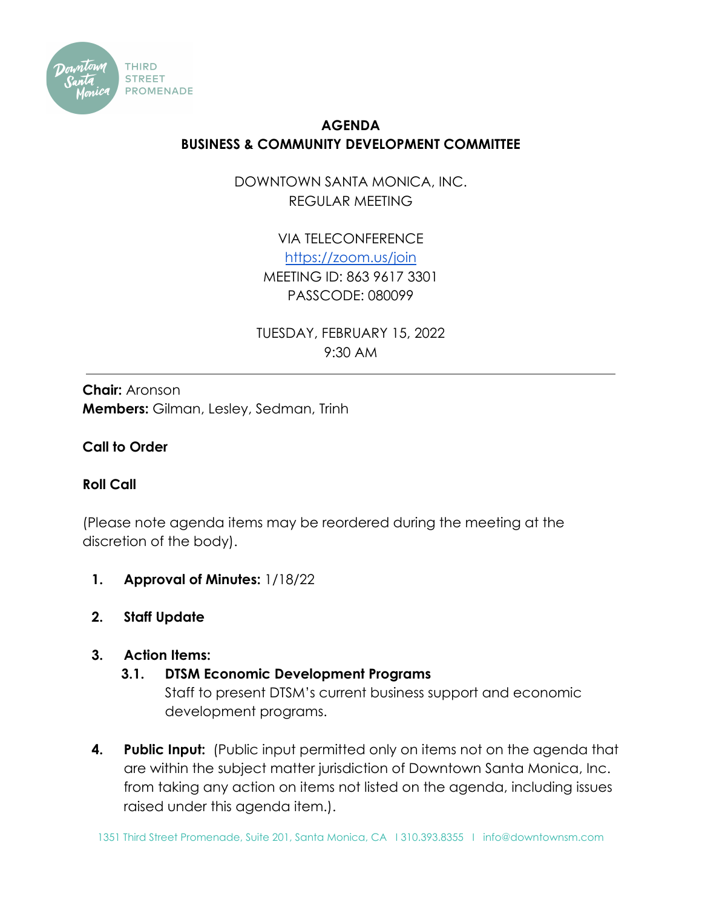

# **AGENDA BUSINESS & COMMUNITY DEVELOPMENT COMMITTEE**

DOWNTOWN SANTA MONICA, INC. REGULAR MEETING

> VIA TELECONFERENCE <https://zoom.us/join> MEETING ID: 863 9617 3301 PASSCODE: 080099

TUESDAY, FEBRUARY 15, 2022 9:30 AM

**Chair:** Aronson **Members:** Gilman, Lesley, Sedman, Trinh

## **Call to Order**

### **Roll Call**

(Please note agenda items may be reordered during the meeting at the discretion of the body).

- **1. Approval of Minutes:** 1/18/22
- **2. Staff Update**

### **3. Action Items:**

# **3.1. DTSM Economic Development Programs**

Staff to present DTSM's current business support and economic development programs.

**4. Public Input:** (Public input permitted only on items not on the agenda that are within the subject matter jurisdiction of Downtown Santa Monica, Inc. from taking any action on items not listed on the agenda, including issues raised under this agenda item.).